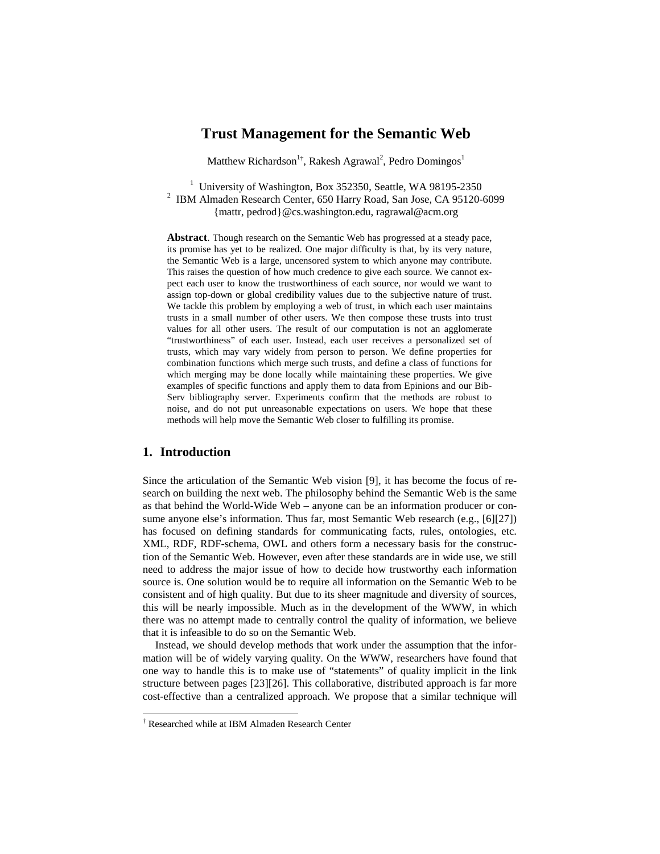# **Trust Management for the Semantic Web**

Matthew Richardson<sup>1†</sup>, Rakesh Agrawal<sup>2</sup>, Pedro Domingos<sup>1</sup>

<sup>1</sup> University of Washington, Box 352350, Seattle, WA 98195-2350 <sup>2</sup> IBM Almaden Research Center, 650 Harry Road, San Jose, CA 95120-6099 {mattr, pedrod}@cs.washington.edu, ragrawal@acm.org

**Abstract**. Though research on the Semantic Web has progressed at a steady pace, its promise has yet to be realized. One major difficulty is that, by its very nature, the Semantic Web is a large, uncensored system to which anyone may contribute. This raises the question of how much credence to give each source. We cannot expect each user to know the trustworthiness of each source, nor would we want to assign top-down or global credibility values due to the subjective nature of trust. We tackle this problem by employing a web of trust, in which each user maintains trusts in a small number of other users. We then compose these trusts into trust values for all other users. The result of our computation is not an agglomerate "trustworthiness" of each user. Instead, each user receives a personalized set of trusts, which may vary widely from person to person. We define properties for combination functions which merge such trusts, and define a class of functions for which merging may be done locally while maintaining these properties. We give examples of specific functions and apply them to data from Epinions and our Bib-Serv bibliography server. Experiments confirm that the methods are robust to noise, and do not put unreasonable expectations on users. We hope that these methods will help move the Semantic Web closer to fulfilling its promise.

### **1. Introduction**

Since the articulation of the Semantic Web vision [9], it has become the focus of research on building the next web. The philosophy behind the Semantic Web is the same as that behind the World-Wide Web – anyone can be an information producer or consume anyone else's information. Thus far, most Semantic Web research (e.g., [6][27]) has focused on defining standards for communicating facts, rules, ontologies, etc. XML, RDF, RDF-schema, OWL and others form a necessary basis for the construction of the Semantic Web. However, even after these standards are in wide use, we still need to address the major issue of how to decide how trustworthy each information source is. One solution would be to require all information on the Semantic Web to be consistent and of high quality. But due to its sheer magnitude and diversity of sources, this will be nearly impossible. Much as in the development of the WWW, in which there was no attempt made to centrally control the quality of information, we believe that it is infeasible to do so on the Semantic Web.

Instead, we should develop methods that work under the assumption that the information will be of widely varying quality. On the WWW, researchers have found that one way to handle this is to make use of "statements" of quality implicit in the link structure between pages [23][26]. This collaborative, distributed approach is far more cost-effective than a centralized approach. We propose that a similar technique will

<sup>†</sup> Researched while at IBM Almaden Research Center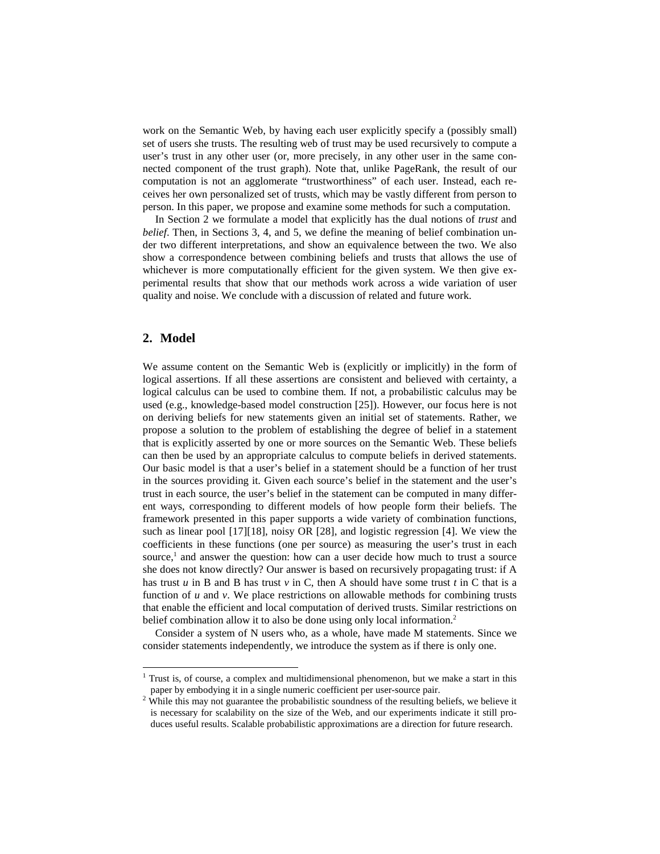work on the Semantic Web, by having each user explicitly specify a (possibly small) set of users she trusts. The resulting web of trust may be used recursively to compute a user's trust in any other user (or, more precisely, in any other user in the same connected component of the trust graph). Note that, unlike PageRank, the result of our computation is not an agglomerate "trustworthiness" of each user. Instead, each receives her own personalized set of trusts, which may be vastly different from person to person. In this paper, we propose and examine some methods for such a computation.

In Section 2 we formulate a model that explicitly has the dual notions of *trust* and *belief*. Then, in Sections 3, 4, and 5, we define the meaning of belief combination under two different interpretations, and show an equivalence between the two. We also show a correspondence between combining beliefs and trusts that allows the use of whichever is more computationally efficient for the given system. We then give experimental results that show that our methods work across a wide variation of user quality and noise. We conclude with a discussion of related and future work.

# **2. Model**

We assume content on the Semantic Web is (explicitly or implicitly) in the form of logical assertions. If all these assertions are consistent and believed with certainty, a logical calculus can be used to combine them. If not, a probabilistic calculus may be used (e.g., knowledge-based model construction [25]). However, our focus here is not on deriving beliefs for new statements given an initial set of statements. Rather, we propose a solution to the problem of establishing the degree of belief in a statement that is explicitly asserted by one or more sources on the Semantic Web. These beliefs can then be used by an appropriate calculus to compute beliefs in derived statements. Our basic model is that a user's belief in a statement should be a function of her trust in the sources providing it. Given each source's belief in the statement and the user's trust in each source, the user's belief in the statement can be computed in many different ways, corresponding to different models of how people form their beliefs. The framework presented in this paper supports a wide variety of combination functions, such as linear pool [17][18], noisy OR [28], and logistic regression [4]. We view the coefficients in these functions (one per source) as measuring the user's trust in each source, 1 and answer the question: how can a user decide how much to trust a source she does not know directly? Our answer is based on recursively propagating trust: if A has trust  $u$  in B and B has trust  $v$  in C, then A should have some trust  $t$  in C that is a function of  $u$  and  $v$ . We place restrictions on allowable methods for combining trusts that enable the efficient and local computation of derived trusts. Similar restrictions on belief combination allow it to also be done using only local information.<sup>2</sup>

Consider a system of N users who, as a whole, have made M statements. Since we consider statements independently, we introduce the system as if there is only one.

<sup>1</sup> Trust is, of course, a complex and multidimensional phenomenon, but we make a start in this paper by embodying it in a single numeric coefficient per user-source pair.

 $2 \text{ while this may not guarantee the probabilistic soundness of the resulting beliefs, we believe it.}$ is necessary for scalability on the size of the Web, and our experiments indicate it still produces useful results. Scalable probabilistic approximations are a direction for future research.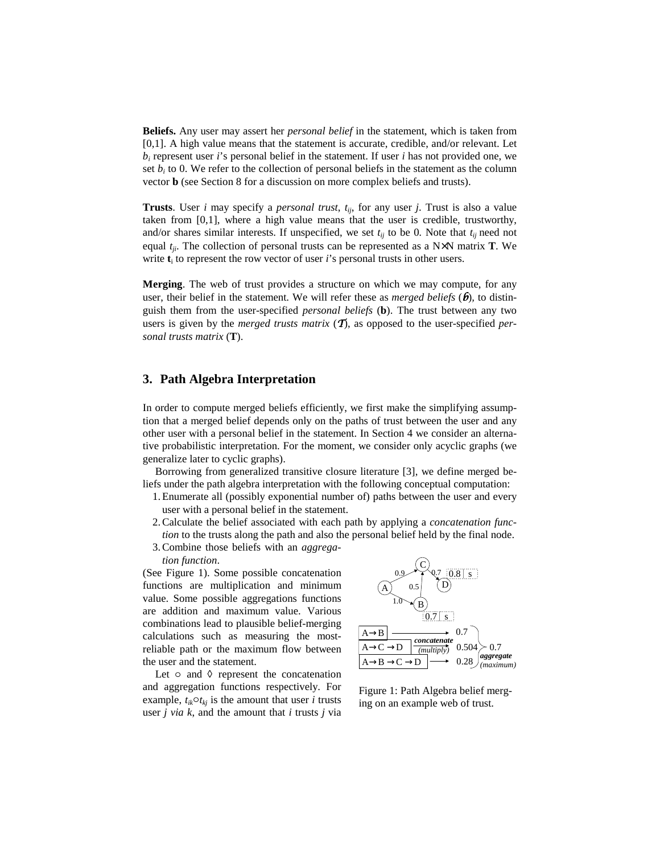**Beliefs.** Any user may assert her *personal belief* in the statement, which is taken from [0,1]. A high value means that the statement is accurate, credible, and/or relevant. Let  $b_i$  represent user *i*'s personal belief in the statement. If user *i* has not provided one, we set  $b_i$  to 0. We refer to the collection of personal beliefs in the statement as the column vector **b** (see Section 8 for a discussion on more complex beliefs and trusts).

**Trusts**. User *i* may specify a *personal trust*, *tij* , for any user *j*. Trust is also a value taken from [0,1], where a high value means that the user is credible, trustworthy, and/or shares similar interests. If unspecified, we set  $t_{ij}$  to be 0. Note that  $t_{ij}$  need not equal *tji* . The collection of personal trusts can be represented as a N×N matrix **T**. We write  $t_i$  to represent the row vector of user *i*'s personal trusts in other users.

**Merging**. The web of trust provides a structure on which we may compute, for any user, their belief in the statement. We will refer these as *merged beliefs* ( $\vec{b}$ ), to distinguish them from the user-specified *personal beliefs* (**b**). The trust between any two users is given by the *merged trusts matrix*  $(T)$ , as opposed to the user-specified *personal trusts matrix* (**T**).

## **3. Path Algebra Interpretation**

In order to compute merged beliefs efficiently, we first make the simplifying assumption that a merged belief depends only on the paths of trust between the user and any other user with a personal belief in the statement. In Section 4 we consider an alternative probabilistic interpretation. For the moment, we consider only acyclic graphs (we generalize later to cyclic graphs).

Borrowing from generalized transitive closure literature [3], we define merged beliefs under the path algebra interpretation with the following conceptual computation:

- 1.Enumerate all (possibly exponential number of) paths between the user and every user with a personal belief in the statement.
- 2.Calculate the belief associated with each path by applying a *concatenation function* to the trusts along the path and also the personal belief held by the final node.
- 3.Combine those beliefs with an *aggregation function*.

(See Figure 1). Some possible concatenation functions are multiplication and minimum value. Some possible aggregations functions are addition and maximum value. Various combinations lead to plausible belief-merging calculations such as measuring the mostreliable path or the maximum flow between the user and the statement.

Let  $\circ$  and  $\circ$  represent the concatenation and aggregation functions respectively. For example,  $t_{ik} \circ t_{kj}$  is the amount that user *i* trusts user  $j$  *via*  $k$ , and the amount that  $i$  trusts  $j$  via



Figure 1: Path Algebra belief merging on an example web of trust.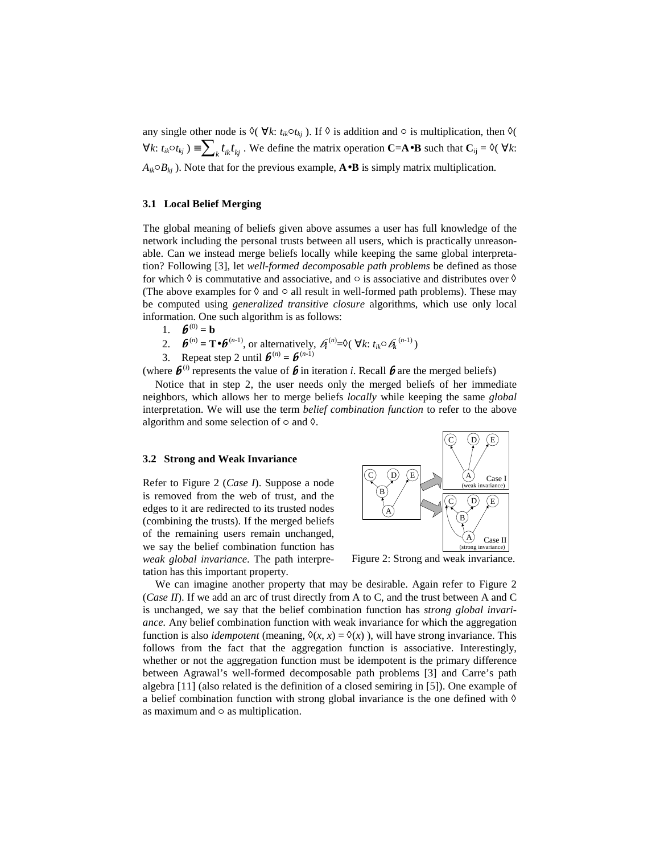any single other node is  $\Diamond(\forall k: t_{ik} \circ t_{kj})$ . If  $\Diamond$  is addition and  $\circ$  is multiplication, then  $\Diamond$  $\forall k: t_{ik} \circ t_{kj}$ ) =  $\sum_{k} t_{ik} t_{kj}$ . We define the matrix operation **C**=**A•B** such that  $\mathbf{C}_{ij} = \delta(\forall k$ :  $A_{ik} \circ B_{kj}$ ). Note that for the previous example,  $\mathbf{A} \bullet \mathbf{B}$  is simply matrix multiplication.

#### **3.1 Local Belief Merging**

The global meaning of beliefs given above assumes a user has full knowledge of the network including the personal trusts between all users, which is practically unreasonable. Can we instead merge beliefs locally while keeping the same global interpretation? Following [3], let *well-formed decomposable path problems* be defined as those for which  $\Diamond$  is commutative and associative, and  $\circ$  is associative and distributes over  $\Diamond$ (The above examples for  $\Diamond$  and  $\circ$  all result in well-formed path problems). These may be computed using *generalized transitive closure* algorithms, which use only local information. One such algorithm is as follows:

- 1.  $\boldsymbol{b}^{(0)} = \mathbf{b}$
- 2.  $\mathbf{b}^{(n)} = \mathbf{T} \bullet \mathbf{b}^{(n-1)}$ , or alternatively,  $\mathcal{A}^{(n)} = \mathcal{O}(\forall k : t_{ik} \circ \mathcal{A}^{(n-1)})$
- 3. Repeat step 2 until  $\boldsymbol{b}^{(n)} = \boldsymbol{b}^{(n-1)}$

(where  $\boldsymbol{b}^{(i)}$  represents the value of  $\boldsymbol{b}$  in iteration *i*. Recall  $\boldsymbol{b}$  are the merged beliefs)

Notice that in step 2, the user needs only the merged beliefs of her immediate neighbors, which allows her to merge beliefs *locally* while keeping the same *global* interpretation. We will use the term *belief combination function* to refer to the above algorithm and some selection of  $\circ$  and  $\lozenge$ .

#### **3.2 Strong and Weak Invariance**

Refer to Figure 2 (*Case I*). Suppose a node is removed from the web of trust, and the edges to it are redirected to its trusted nodes (combining the trusts). If the merged beliefs of the remaining users remain unchanged, we say the belief combination function has *weak global invariance*. The path interpretation has this important property.



Figure 2: Strong and weak invariance.

We can imagine another property that may be desirable. Again refer to Figure 2 (*Case II*). If we add an arc of trust directly from A to C, and the trust between A and C is unchanged, we say that the belief combination function has *strong global invariance.* Any belief combination function with weak invariance for which the aggregation function is also *idempotent* (meaning,  $\mathcal{O}(x, x) = \mathcal{O}(x)$ ), will have strong invariance. This follows from the fact that the aggregation function is associative. Interestingly, whether or not the aggregation function must be idempotent is the primary difference between Agrawal's well-formed decomposable path problems [3] and Carre's path algebra [11] (also related is the definition of a closed semiring in [5]). One example of a belief combination function with strong global invariance is the one defined with  $\Diamond$ as maximum and  $\circ$  as multiplication.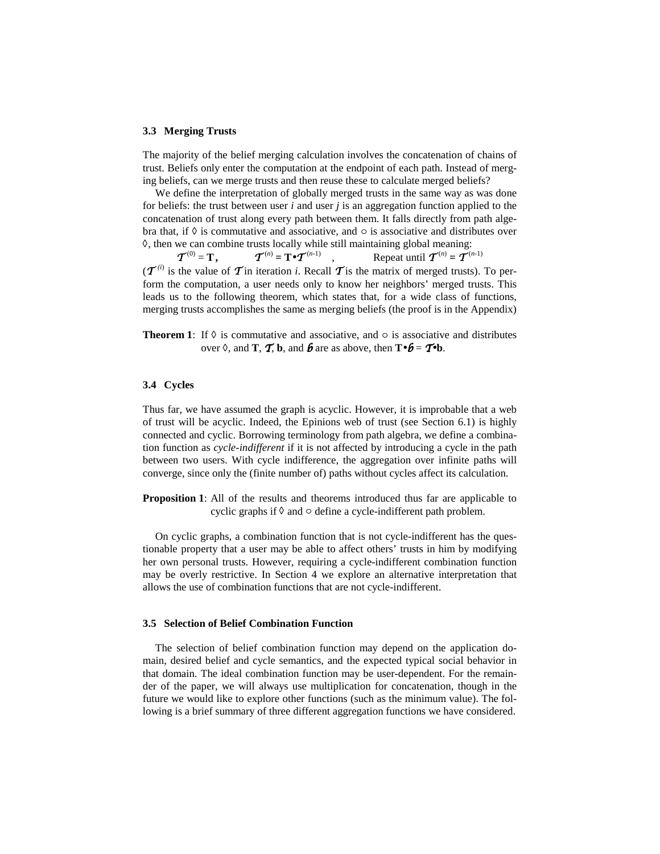#### **3.3 Merging Trusts**

The majority of the belief merging calculation involves the concatenation of chains of trust. Beliefs only enter the computation at the endpoint of each path. Instead of merging beliefs, can we merge trusts and then reuse these to calculate merged beliefs?

We define the interpretation of globally merged trusts in the same way as was done for beliefs: the trust between user *i* and user *j* is an aggregation function applied to the concatenation of trust along every path between them. It falls directly from path algebra that, if  $\Diamond$  is commutative and associative, and  $\circ$  is associative and distributes over , then we can combine trusts locally while still maintaining global meaning:

 $\boldsymbol{\mathcal{T}}^{(0)} = \mathbf{T}$ ,  $\boldsymbol{\mathcal{T}}^{(n)} = \mathbf{T} \cdot \boldsymbol{\mathcal{T}}^{(n-1)}$ , Repeat until  $\boldsymbol{\mathcal{T}}^{(n)} = \boldsymbol{\mathcal{T}}$ Repeat until  $\boldsymbol{\mathcal{T}}^{(n)} = \boldsymbol{\mathcal{T}}^{(n-1)}$  $(\boldsymbol{\mathcal{T}}^{(i)}$  is the value of  $\boldsymbol{\mathcal{T}}$  in iteration *i*. Recall  $\boldsymbol{\mathcal{T}}$  is the matrix of merged trusts). To perform the computation, a user needs only to know her neighbors' merged trusts. This leads us to the following theorem, which states that, for a wide class of functions, merging trusts accomplishes the same as merging beliefs (the proof is in the Appendix)

**Theorem 1:** If  $\Diamond$  is commutative and associative, and  $\circ$  is associative and distributes over  $\Diamond$ , and **T**, **T**, **b**, and *b* are as above, then **T•**  $b = T \bullet b$ .

### **3.4 Cycles**

Thus far, we have assumed the graph is acyclic. However, it is improbable that a web of trust will be acyclic. Indeed, the Epinions web of trust (see Section 6.1) is highly connected and cyclic. Borrowing terminology from path algebra, we define a combination function as *cycle-indifferent* if it is not affected by introducing a cycle in the path between two users. With cycle indifference, the aggregation over infinite paths will converge, since only the (finite number of) paths without cycles affect its calculation.

**Proposition 1**: All of the results and theorems introduced thus far are applicable to cyclic graphs if  $\Diamond$  and  $\circ$  define a cycle-indifferent path problem.

On cyclic graphs, a combination function that is not cycle-indifferent has the questionable property that a user may be able to affect others' trusts in him by modifying her own personal trusts. However, requiring a cycle-indifferent combination function may be overly restrictive. In Section 4 we explore an alternative interpretation that allows the use of combination functions that are not cycle-indifferent.

### **3.5 Selection of Belief Combination Function**

The selection of belief combination function may depend on the application domain, desired belief and cycle semantics, and the expected typical social behavior in that domain. The ideal combination function may be user-dependent. For the remainder of the paper, we will always use multiplication for concatenation, though in the future we would like to explore other functions (such as the minimum value). The following is a brief summary of three different aggregation functions we have considered.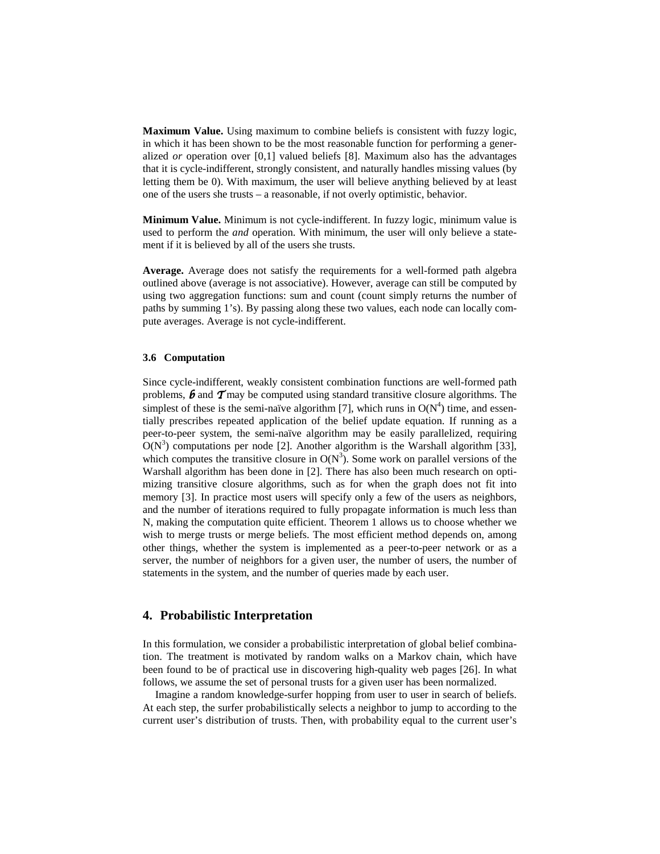**Maximum Value.** Using maximum to combine beliefs is consistent with fuzzy logic, in which it has been shown to be the most reasonable function for performing a generalized *or* operation over [0,1] valued beliefs [8]. Maximum also has the advantages that it is cycle-indifferent, strongly consistent, and naturally handles missing values (by letting them be 0). With maximum, the user will believe anything believed by at least one of the users she trusts – a reasonable, if not overly optimistic, behavior.

**Minimum Value.** Minimum is not cycle-indifferent. In fuzzy logic, minimum value is used to perform the *and* operation. With minimum, the user will only believe a statement if it is believed by all of the users she trusts.

**Average.** Average does not satisfy the requirements for a well-formed path algebra outlined above (average is not associative). However, average can still be computed by using two aggregation functions: sum and count (count simply returns the number of paths by summing 1's). By passing along these two values, each node can locally compute averages. Average is not cycle-indifferent.

#### **3.6 Computation**

Since cycle-indifferent, weakly consistent combination functions are well-formed path problems,  $\boldsymbol{\delta}$  and  $\boldsymbol{\mathcal{T}}$  may be computed using standard transitive closure algorithms. The simplest of these is the semi-naïve algorithm [7], which runs in  $O(N^4)$  time, and essentially prescribes repeated application of the belief update equation. If running as a peer-to-peer system, the semi-naïve algorithm may be easily parallelized, requiring  $O(N^3)$  computations per node [2]. Another algorithm is the Warshall algorithm [33], which computes the transitive closure in  $O(N^3)$ . Some work on parallel versions of the Warshall algorithm has been done in [2]. There has also been much research on optimizing transitive closure algorithms, such as for when the graph does not fit into memory [3]. In practice most users will specify only a few of the users as neighbors, and the number of iterations required to fully propagate information is much less than N, making the computation quite efficient. Theorem 1 allows us to choose whether we wish to merge trusts or merge beliefs. The most efficient method depends on, among other things, whether the system is implemented as a peer-to-peer network or as a server, the number of neighbors for a given user, the number of users, the number of statements in the system, and the number of queries made by each user.

### **4. Probabilistic Interpretation**

In this formulation, we consider a probabilistic interpretation of global belief combination. The treatment is motivated by random walks on a Markov chain, which have been found to be of practical use in discovering high-quality web pages [26]. In what follows, we assume the set of personal trusts for a given user has been normalized.

Imagine a random knowledge-surfer hopping from user to user in search of beliefs. At each step, the surfer probabilistically selects a neighbor to jump to according to the current user's distribution of trusts. Then, with probability equal to the current user's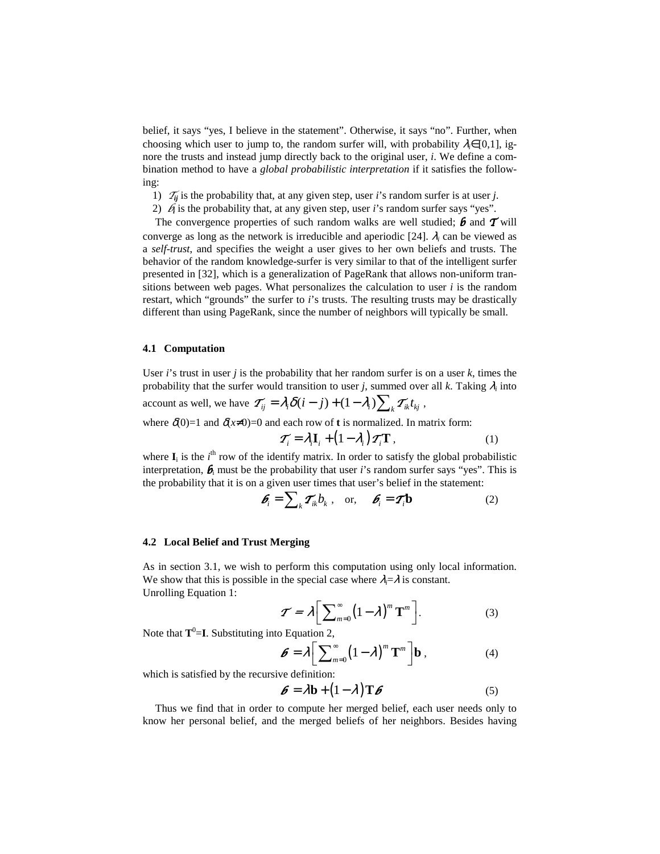belief, it says "yes, I believe in the statement". Otherwise, it says "no". Further, when choosing which user to jump to, the random surfer will, with probability  $\lambda_i \in [0,1]$ , ignore the trusts and instead jump directly back to the original user, *i*. We define a combination method to have a *global probabilistic interpretation* if it satisfies the following:

1)  $\mathcal{T}_{ij}$  is the probability that, at any given step, user *i*'s random surfer is at user *j*.

2)  $\mathcal{L}_i$  is the probability that, at any given step, user *i*'s random surfer says "yes".

The convergence properties of such random walks are well studied;  $\boldsymbol{b}$  and  $\boldsymbol{\mathcal{T}}$  will converge as long as the network is irreducible and aperiodic [24].  $\lambda_i$  can be viewed as a *self-trust*, and specifies the weight a user gives to her own beliefs and trusts. The behavior of the random knowledge-surfer is very similar to that of the intelligent surfer presented in [32], which is a generalization of PageRank that allows non-uniform transitions between web pages. What personalizes the calculation to user  $i$  is the random restart, which "grounds" the surfer to *i*'s trusts. The resulting trusts may be drastically different than using PageRank, since the number of neighbors will typically be small.

#### **4.1 Computation**

User *i*'s trust in user *j* is the probability that her random surfer is on a user *k*, times the probability that the surfer would transition to user *j*, summed over all *k*. Taking  $\lambda_i$  into account as well, we have  $\mathcal{T}_{ij} = \lambda_i \delta(i - j) + (1 - \lambda_i) \sum_k \mathcal{T}_{ik} t_{kj}$ ,

where  $\delta(0)=1$  and  $\delta(x\neq0)=0$  and each row of **t** is normalized. In matrix form:

$$
\mathcal{T}_i = \lambda_i \mathbf{I}_i + (1 - \lambda_i) \mathcal{T}_i \mathbf{T} , \qquad (1)
$$

where  $I_i$  is the  $i^{\text{th}}$  row of the identify matrix. In order to satisfy the global probabilistic interpretation,  $\boldsymbol{\beta}$  must be the probability that user *i*'s random surfer says "yes". This is the probability that it is on a given user times that user's belief in the statement:

$$
\tilde{\boldsymbol{\beta}_i} = \sum_k \boldsymbol{\mathcal{T}}_{ik} \boldsymbol{b}_k \,, \quad \text{or,} \quad \boldsymbol{\beta}_i = \boldsymbol{\mathcal{T}}_i \mathbf{b} \tag{2}
$$

#### **4.2 Local Belief and Trust Merging**

As in section 3.1, we wish to perform this computation using only local information. We show that this is possible in the special case where  $\lambda_i = \lambda$  is constant. Unrolling Equation 1:

$$
\mathcal{T} = \lambda \Big[ \sum_{m=0}^{\infty} \left( 1 - \lambda \right)^m \mathbf{T}^m \Big]. \tag{3}
$$

Note that  $T^0$ =**I**. Substituting into Equation 2,

-

$$
\mathbf{\boldsymbol{b}} = \lambda \Big[ \sum_{m=0}^{\infty} \big( 1 - \lambda \big)^m \mathbf{T}^m \Big] \mathbf{b} \,, \tag{4}
$$

which is satisfied by the recursive definition:

$$
\mathbf{\delta} = \lambda \mathbf{b} + (1 - \lambda) \mathbf{T} \mathbf{\delta}
$$
 (5)

Thus we find that in order to compute her merged belief, each user needs only to know her personal belief, and the merged beliefs of her neighbors. Besides having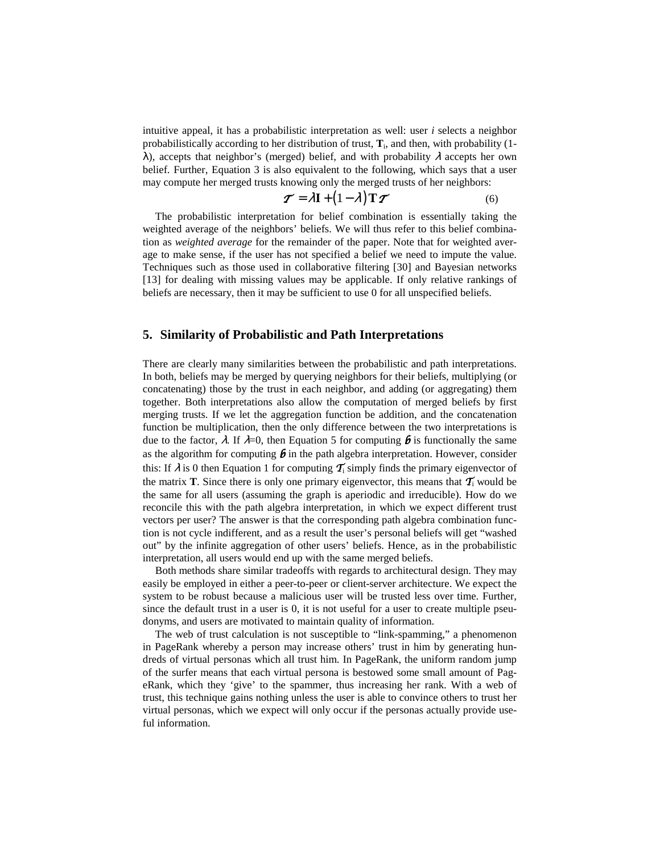intuitive appeal, it has a probabilistic interpretation as well: user *i* selects a neighbor probabilistically according to her distribution of trust, **T**<sup>i</sup> , and then, with probability (1 λ), accepts that neighbor's (merged) belief, and with probability  $\lambda$  accepts her own belief. Further, Equation 3 is also equivalent to the following, which says that a user may compute her merged trusts knowing only the merged trusts of her neighbors:

$$
\mathcal{T} = \lambda \mathbf{I} + (1 - \lambda) \mathbf{T} \mathcal{T} \tag{6}
$$

The probabilistic interpretation for belief combination is essentially taking the weighted average of the neighbors' beliefs. We will thus refer to this belief combination as *weighted average* for the remainder of the paper. Note that for weighted average to make sense, if the user has not specified a belief we need to impute the value. Techniques such as those used in collaborative filtering [30] and Bayesian networks [13] for dealing with missing values may be applicable. If only relative rankings of beliefs are necessary, then it may be sufficient to use 0 for all unspecified beliefs.

### **5. Similarity of Probabilistic and Path Interpretations**

There are clearly many similarities between the probabilistic and path interpretations. In both, beliefs may be merged by querying neighbors for their beliefs, multiplying (or concatenating) those by the trust in each neighbor, and adding (or aggregating) them together. Both interpretations also allow the computation of merged beliefs by first merging trusts. If we let the aggregation function be addition, and the concatenation function be multiplication, then the only difference between the two interpretations is due to the factor,  $\lambda$ . If  $\lambda = 0$ , then Equation 5 for computing **b** is functionally the same as the algorithm for computing  $\boldsymbol{b}$  in the path algebra interpretation. However, consider this: If  $\lambda$  is 0 then Equation 1 for computing  $\boldsymbol{\tau}_i$  simply finds the primary eigenvector of the matrix **T**. Since there is only one primary eigenvector, this means that  $T_i$  would be the same for all users (assuming the graph is aperiodic and irreducible). How do we reconcile this with the path algebra interpretation, in which we expect different trust vectors per user? The answer is that the corresponding path algebra combination function is not cycle indifferent, and as a result the user's personal beliefs will get "washed out" by the infinite aggregation of other users' beliefs. Hence, as in the probabilistic interpretation, all users would end up with the same merged beliefs.

Both methods share similar tradeoffs with regards to architectural design. They may easily be employed in either a peer-to-peer or client-server architecture. We expect the system to be robust because a malicious user will be trusted less over time. Further, since the default trust in a user is 0, it is not useful for a user to create multiple pseudonyms, and users are motivated to maintain quality of information.

The web of trust calculation is not susceptible to "link-spamming," a phenomenon in PageRank whereby a person may increase others' trust in him by generating hundreds of virtual personas which all trust him. In PageRank, the uniform random jump of the surfer means that each virtual persona is bestowed some small amount of PageRank, which they 'give' to the spammer, thus increasing her rank. With a web of trust, this technique gains nothing unless the user is able to convince others to trust her virtual personas, which we expect will only occur if the personas actually provide useful information.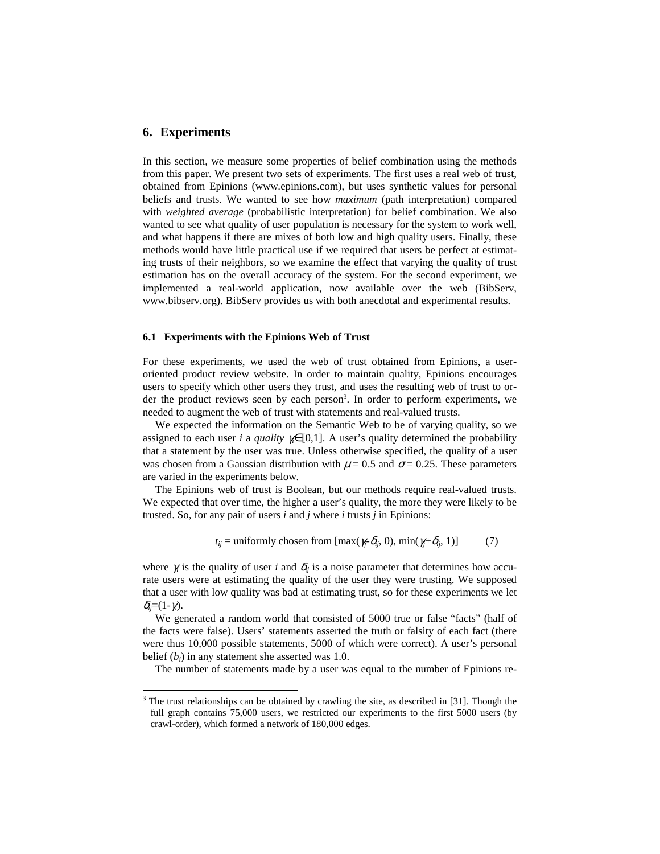### **6. Experiments**

In this section, we measure some properties of belief combination using the methods from this paper. We present two sets of experiments. The first uses a real web of trust, obtained from Epinions (www.epinions.com), but uses synthetic values for personal beliefs and trusts. We wanted to see how *maximum* (path interpretation) compared with *weighted average* (probabilistic interpretation) for belief combination. We also wanted to see what quality of user population is necessary for the system to work well, and what happens if there are mixes of both low and high quality users. Finally, these methods would have little practical use if we required that users be perfect at estimating trusts of their neighbors, so we examine the effect that varying the quality of trust estimation has on the overall accuracy of the system. For the second experiment, we implemented a real-world application, now available over the web (BibServ, www.bibserv.org). BibServ provides us with both anecdotal and experimental results.

#### **6.1 Experiments with the Epinions Web of Trust**

For these experiments, we used the web of trust obtained from Epinions, a useroriented product review website. In order to maintain quality, Epinions encourages users to specify which other users they trust, and uses the resulting web of trust to order the product reviews seen by each person 3 . In order to perform experiments, we needed to augment the web of trust with statements and real-valued trusts.

We expected the information on the Semantic Web to be of varying quality, so we assigned to each user *i* a *quality*  $\gamma \in [0,1]$ . A user's quality determined the probability that a statement by the user was true. Unless otherwise specified, the quality of a user was chosen from a Gaussian distribution with  $\mu = 0.5$  and  $\sigma = 0.25$ . These parameters are varied in the experiments below.

The Epinions web of trust is Boolean, but our methods require real-valued trusts. We expected that over time, the higher a user's quality, the more they were likely to be trusted. So, for any pair of users *i* and *j* where *i* trusts *j* in Epinions:

 $t_{ij}$  = uniformly chosen from  $[\max(\gamma_f - \delta_{ij}, 0), \min(\gamma_f + \delta_{ij}, 1)]$  (7)

where  $\gamma$  is the quality of user *i* and  $\delta_{ij}$  is a noise parameter that determines how accurate users were at estimating the quality of the user they were trusting. We supposed that a user with low quality was bad at estimating trust, so for these experiments we let  $\delta_i = (1-\gamma_i)$ .

We generated a random world that consisted of 5000 true or false "facts" (half of the facts were false). Users' statements asserted the truth or falsity of each fact (there were thus 10,000 possible statements, 5000 of which were correct). A user's personal belief  $(b_i)$  in any statement she asserted was 1.0.

The number of statements made by a user was equal to the number of Epinions re-

 $3$  The trust relationships can be obtained by crawling the site, as described in [31]. Though the full graph contains 75,000 users, we restricted our experiments to the first 5000 users (by crawl-order), which formed a network of 180,000 edges.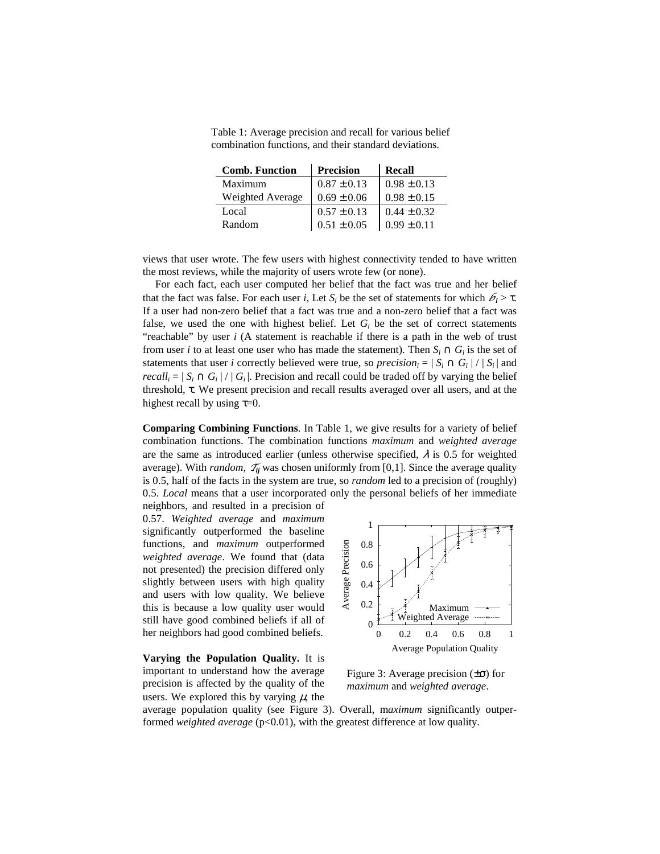Table 1: Average precision and recall for various belief combination functions, and their standard deviations.

| <b>Comb. Function</b> | <b>Precision</b> | Recall          |
|-----------------------|------------------|-----------------|
| Maximum               | $0.87 \pm 0.13$  | $0.98 \pm 0.13$ |
| Weighted Average      | $0.69 \pm 0.06$  | $0.98 \pm 0.15$ |
| Local                 | $0.57 \pm 0.13$  | $0.44 \pm 0.32$ |
| Random                | $0.51 \pm 0.05$  | $0.99 \pm 0.11$ |

views that user wrote. The few users with highest connectivity tended to have written the most reviews, while the majority of users wrote few (or none).

For each fact, each user computed her belief that the fact was true and her belief that the fact was false. For each user *i*, Let  $S_i$  be the set of statements for which  $\mathcal{D}_i > \tau$ . If a user had non-zero belief that a fact was true and a non-zero belief that a fact was false, we used the one with highest belief. Let  $G_i$  be the set of correct statements "reachable" by user *i* (A statement is reachable if there is a path in the web of trust from user *i* to at least one user who has made the statement). Then  $S_i \cap G_i$  is the set of statements that user *i* correctly believed were true, so *precision*<sub>*i*</sub> =  $|S_i \cap G_i| / |S_i|$  and *recall*<sub>*i*</sub> =  $|S_i \cap G_i|$  /  $|G_i|$ . Precision and recall could be traded off by varying the belief threshold, τ. We present precision and recall results averaged over all users, and at the highest recall by using  $\tau=0$ .

**Comparing Combining Functions**. In Table 1, we give results for a variety of belief combination functions. The combination functions *maximum* and *weighted average* are the same as introduced earlier (unless otherwise specified,  $\lambda$  is 0.5 for weighted average). With *random*,  $\mathcal{T}_{ij}$  was chosen uniformly from [0,1]. Since the average quality is 0.5, half of the facts in the system are true, so *random* led to a precision of (roughly) 0.5. *Local* means that a user incorporated only the personal beliefs of her immediate neighbors, and resulted in a precision of

0.57. *Weighted average* and *maximum* significantly outperformed the baseline functions, and *maximum* outperformed *weighted average*. We found that (data not presented) the precision differed only slightly between users with high quality and users with low quality. We believe this is because a low quality user would still have good combined beliefs if all of her neighbors had good combined beliefs.

**Varying the Population Quality.** It is important to understand how the average precision is affected by the quality of the users. We explored this by varying  $\mu$ , the



Figure 3: Average precision  $(\pm \sigma)$  for *maximum* and *weighted average*.

average population quality (see Figure 3). Overall, m*aximum* significantly outperformed *weighted average* (p<0.01), with the greatest difference at low quality.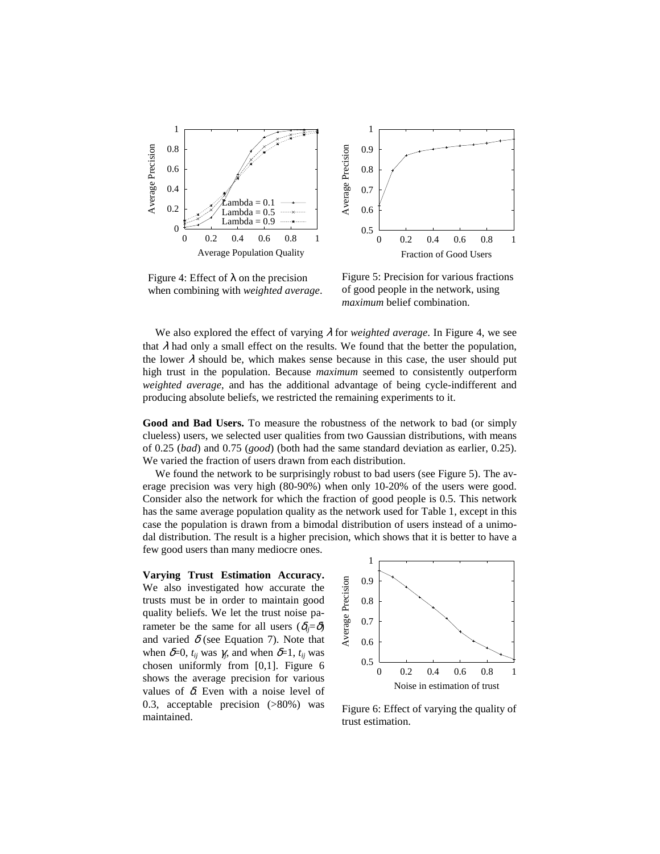

Figure 4: Effect of  $\lambda$  on the precision when combining with *weighted average*.

Figure 5: Precision for various fractions of good people in the network, using *maximum* belief combination.

We also explored the effect of varying λ for *weighted average*. In Figure 4, we see that  $\lambda$  had only a small effect on the results. We found that the better the population, the lower  $\lambda$  should be, which makes sense because in this case, the user should put high trust in the population. Because *maximum* seemed to consistently outperform *weighted average*, and has the additional advantage of being cycle-indifferent and producing absolute beliefs, we restricted the remaining experiments to it.

**Good and Bad Users.** To measure the robustness of the network to bad (or simply clueless) users, we selected user qualities from two Gaussian distributions, with means of 0.25 (*bad*) and 0.75 (*good*) (both had the same standard deviation as earlier, 0.25). We varied the fraction of users drawn from each distribution.

We found the network to be surprisingly robust to bad users (see Figure 5). The average precision was very high (80-90%) when only 10-20% of the users were good. Consider also the network for which the fraction of good people is 0.5. This network has the same average population quality as the network used for Table 1, except in this case the population is drawn from a bimodal distribution of users instead of a unimodal distribution. The result is a higher precision, which shows that it is better to have a few good users than many mediocre ones.

**Varying Trust Estimation Accuracy.** We also investigated how accurate the trusts must be in order to maintain good quality beliefs. We let the trust noise parameter be the same for all users  $(\delta_i = \delta)$ and varied  $\delta$  (see Equation 7). Note that when  $\delta = 0$ ,  $t_{ij}$  was  $\gamma_j$ , and when  $\delta = 1$ ,  $t_{ij}$  was chosen uniformly from [0,1]. Figure 6 shows the average precision for various values of  $\delta$ . Even with a noise level of 0.3, acceptable precision (>80%) was maintained.



Figure 6: Effect of varying the quality of trust estimation.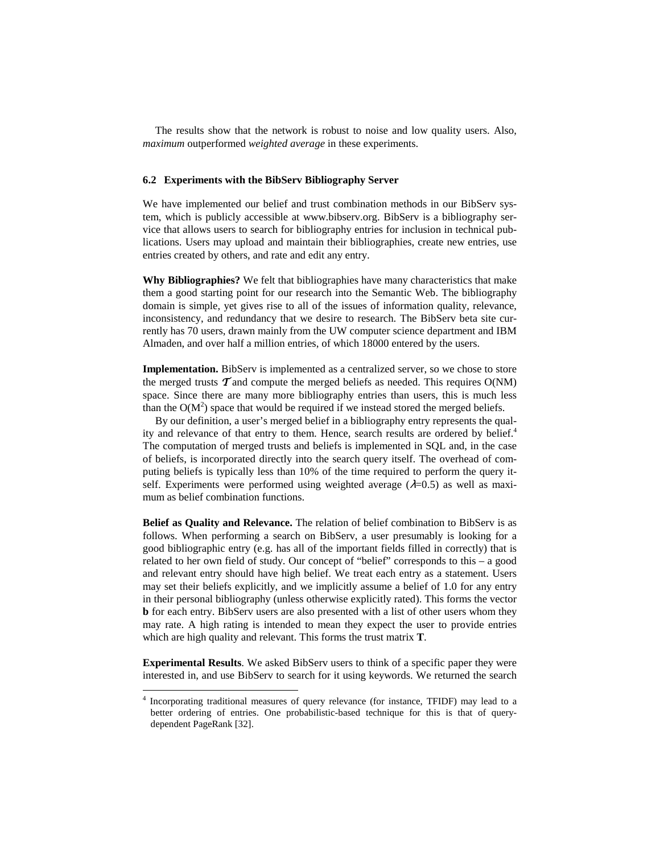The results show that the network is robust to noise and low quality users. Also, *maximum* outperformed *weighted average* in these experiments.

#### **6.2 Experiments with the BibServ Bibliography Server**

We have implemented our belief and trust combination methods in our BibServ system, which is publicly accessible at www.bibserv.org. BibServ is a bibliography service that allows users to search for bibliography entries for inclusion in technical publications. Users may upload and maintain their bibliographies, create new entries, use entries created by others, and rate and edit any entry.

**Why Bibliographies?** We felt that bibliographies have many characteristics that make them a good starting point for our research into the Semantic Web. The bibliography domain is simple, yet gives rise to all of the issues of information quality, relevance, inconsistency, and redundancy that we desire to research. The BibServ beta site currently has 70 users, drawn mainly from the UW computer science department and IBM Almaden, and over half a million entries, of which 18000 entered by the users.

**Implementation.** BibServ is implemented as a centralized server, so we chose to store the merged trusts  $\boldsymbol{\mathcal{T}}$  and compute the merged beliefs as needed. This requires O(NM) space. Since there are many more bibliography entries than users, this is much less than the  $O(M^2)$  space that would be required if we instead stored the merged beliefs.

By our definition, a user's merged belief in a bibliography entry represents the quality and relevance of that entry to them. Hence, search results are ordered by belief. 4 The computation of merged trusts and beliefs is implemented in SQL and, in the case of beliefs, is incorporated directly into the search query itself. The overhead of computing beliefs is typically less than 10% of the time required to perform the query itself. Experiments were performed using weighted average  $(\lambda=0.5)$  as well as maximum as belief combination functions.

**Belief as Quality and Relevance.** The relation of belief combination to BibServ is as follows. When performing a search on BibServ, a user presumably is looking for a good bibliographic entry (e.g. has all of the important fields filled in correctly) that is related to her own field of study. Our concept of "belief" corresponds to this – a good and relevant entry should have high belief. We treat each entry as a statement. Users may set their beliefs explicitly, and we implicitly assume a belief of 1.0 for any entry in their personal bibliography (unless otherwise explicitly rated). This forms the vector **b** for each entry. BibServ users are also presented with a list of other users whom they may rate. A high rating is intended to mean they expect the user to provide entries which are high quality and relevant. This forms the trust matrix **T**.

**Experimental Results**. We asked BibServ users to think of a specific paper they were interested in, and use BibServ to search for it using keywords. We returned the search

<sup>4</sup> Incorporating traditional measures of query relevance (for instance, TFIDF) may lead to a better ordering of entries. One probabilistic-based technique for this is that of querydependent PageRank [32].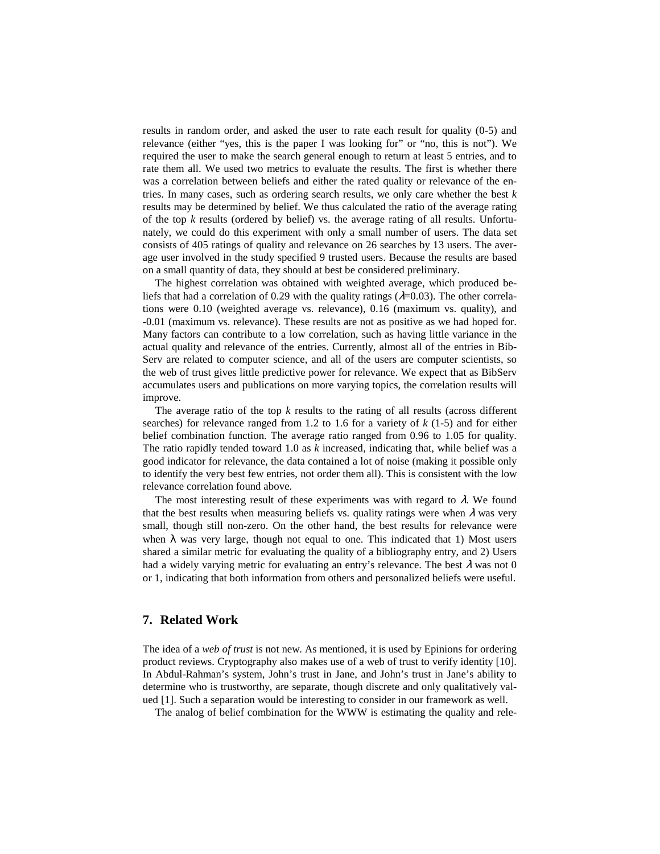results in random order, and asked the user to rate each result for quality (0-5) and relevance (either "yes, this is the paper I was looking for" or "no, this is not"). We required the user to make the search general enough to return at least 5 entries, and to rate them all. We used two metrics to evaluate the results. The first is whether there was a correlation between beliefs and either the rated quality or relevance of the entries. In many cases, such as ordering search results, we only care whether the best *k* results may be determined by belief. We thus calculated the ratio of the average rating of the top *k* results (ordered by belief) vs. the average rating of all results. Unfortunately, we could do this experiment with only a small number of users. The data set consists of 405 ratings of quality and relevance on 26 searches by 13 users. The average user involved in the study specified 9 trusted users. Because the results are based on a small quantity of data, they should at best be considered preliminary.

The highest correlation was obtained with weighted average, which produced beliefs that had a correlation of 0.29 with the quality ratings ( $\lambda=0.03$ ). The other correlations were 0.10 (weighted average vs. relevance), 0.16 (maximum vs. quality), and -0.01 (maximum vs. relevance). These results are not as positive as we had hoped for. Many factors can contribute to a low correlation, such as having little variance in the actual quality and relevance of the entries. Currently, almost all of the entries in Bib-Serv are related to computer science, and all of the users are computer scientists, so the web of trust gives little predictive power for relevance. We expect that as BibServ accumulates users and publications on more varying topics, the correlation results will improve.

The average ratio of the top *k* results to the rating of all results (across different searches) for relevance ranged from 1.2 to 1.6 for a variety of *k* (1-5) and for either belief combination function. The average ratio ranged from 0.96 to 1.05 for quality. The ratio rapidly tended toward 1.0 as *k* increased, indicating that, while belief was a good indicator for relevance, the data contained a lot of noise (making it possible only to identify the very best few entries, not order them all). This is consistent with the low relevance correlation found above.

The most interesting result of these experiments was with regard to  $\lambda$ . We found that the best results when measuring beliefs vs. quality ratings were when  $\lambda$  was very small, though still non-zero. On the other hand, the best results for relevance were when  $\lambda$  was very large, though not equal to one. This indicated that 1) Most users shared a similar metric for evaluating the quality of a bibliography entry, and 2) Users had a widely varying metric for evaluating an entry's relevance. The best  $\lambda$  was not 0 or 1, indicating that both information from others and personalized beliefs were useful.

### **7. Related Work**

The idea of a *web of trust* is not new. As mentioned, it is used by Epinions for ordering product reviews. Cryptography also makes use of a web of trust to verify identity [10]. In Abdul-Rahman's system, John's trust in Jane, and John's trust in Jane's ability to determine who is trustworthy, are separate, though discrete and only qualitatively valued [1]. Such a separation would be interesting to consider in our framework as well.

The analog of belief combination for the WWW is estimating the quality and rele-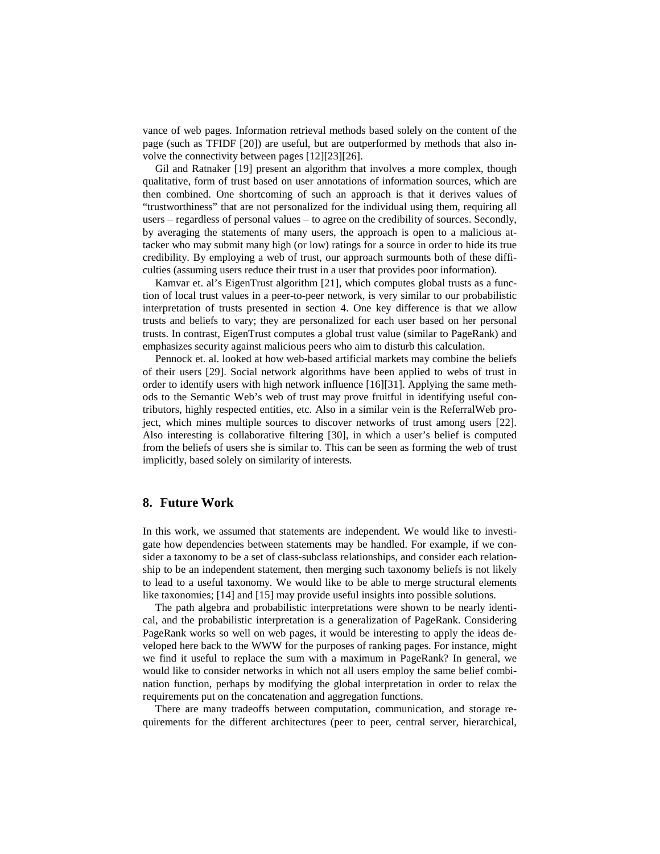vance of web pages. Information retrieval methods based solely on the content of the page (such as TFIDF [20]) are useful, but are outperformed by methods that also involve the connectivity between pages [12][23][26].

Gil and Ratnaker [19] present an algorithm that involves a more complex, though qualitative, form of trust based on user annotations of information sources, which are then combined. One shortcoming of such an approach is that it derives values of "trustworthiness" that are not personalized for the individual using them, requiring all users – regardless of personal values – to agree on the credibility of sources. Secondly, by averaging the statements of many users, the approach is open to a malicious attacker who may submit many high (or low) ratings for a source in order to hide its true credibility. By employing a web of trust, our approach surmounts both of these difficulties (assuming users reduce their trust in a user that provides poor information).

Kamvar et. al's EigenTrust algorithm [21], which computes global trusts as a function of local trust values in a peer-to-peer network, is very similar to our probabilistic interpretation of trusts presented in section 4. One key difference is that we allow trusts and beliefs to vary; they are personalized for each user based on her personal trusts. In contrast, EigenTrust computes a global trust value (similar to PageRank) and emphasizes security against malicious peers who aim to disturb this calculation.

Pennock et. al. looked at how web-based artificial markets may combine the beliefs of their users [29]. Social network algorithms have been applied to webs of trust in order to identify users with high network influence [16][31]. Applying the same methods to the Semantic Web's web of trust may prove fruitful in identifying useful contributors, highly respected entities, etc. Also in a similar vein is the ReferralWeb project, which mines multiple sources to discover networks of trust among users [22]. Also interesting is collaborative filtering [30], in which a user's belief is computed from the beliefs of users she is similar to. This can be seen as forming the web of trust implicitly, based solely on similarity of interests.

## **8. Future Work**

In this work, we assumed that statements are independent. We would like to investigate how dependencies between statements may be handled. For example, if we consider a taxonomy to be a set of class-subclass relationships, and consider each relationship to be an independent statement, then merging such taxonomy beliefs is not likely to lead to a useful taxonomy. We would like to be able to merge structural elements like taxonomies; [14] and [15] may provide useful insights into possible solutions.

The path algebra and probabilistic interpretations were shown to be nearly identical, and the probabilistic interpretation is a generalization of PageRank. Considering PageRank works so well on web pages, it would be interesting to apply the ideas developed here back to the WWW for the purposes of ranking pages. For instance, might we find it useful to replace the sum with a maximum in PageRank? In general, we would like to consider networks in which not all users employ the same belief combination function, perhaps by modifying the global interpretation in order to relax the requirements put on the concatenation and aggregation functions.

There are many tradeoffs between computation, communication, and storage requirements for the different architectures (peer to peer, central server, hierarchical,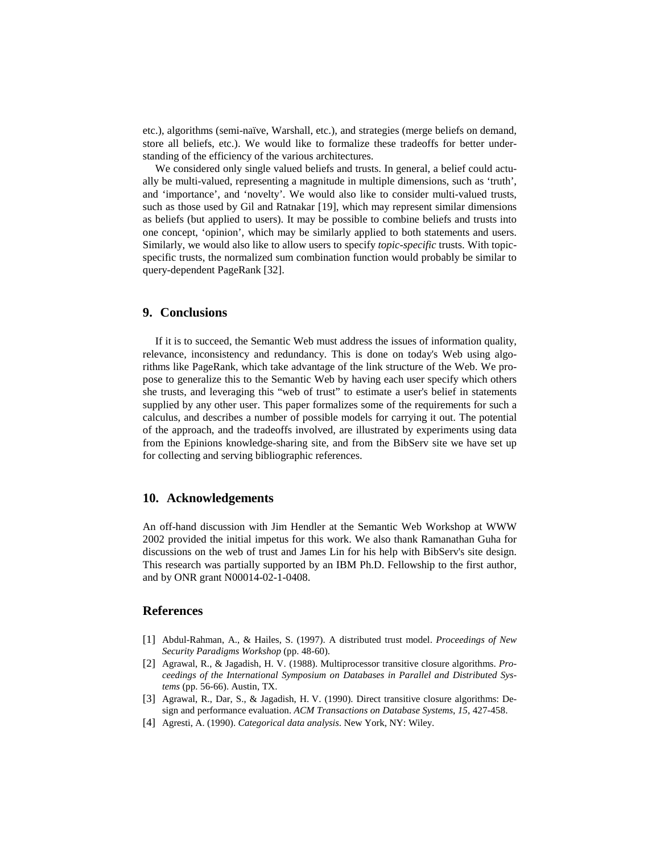etc.), algorithms (semi-naïve, Warshall, etc.), and strategies (merge beliefs on demand, store all beliefs, etc.). We would like to formalize these tradeoffs for better understanding of the efficiency of the various architectures.

We considered only single valued beliefs and trusts. In general, a belief could actually be multi-valued, representing a magnitude in multiple dimensions, such as 'truth', and 'importance', and 'novelty'. We would also like to consider multi-valued trusts, such as those used by Gil and Ratnakar [19], which may represent similar dimensions as beliefs (but applied to users). It may be possible to combine beliefs and trusts into one concept, 'opinion', which may be similarly applied to both statements and users. Similarly, we would also like to allow users to specify *topic-specific* trusts. With topicspecific trusts, the normalized sum combination function would probably be similar to query-dependent PageRank [32].

### **9. Conclusions**

If it is to succeed, the Semantic Web must address the issues of information quality, relevance, inconsistency and redundancy. This is done on today's Web using algorithms like PageRank, which take advantage of the link structure of the Web. We propose to generalize this to the Semantic Web by having each user specify which others she trusts, and leveraging this "web of trust" to estimate a user's belief in statements supplied by any other user. This paper formalizes some of the requirements for such a calculus, and describes a number of possible models for carrying it out. The potential of the approach, and the tradeoffs involved, are illustrated by experiments using data from the Epinions knowledge-sharing site, and from the BibServ site we have set up for collecting and serving bibliographic references.

## **10. Acknowledgements**

An off-hand discussion with Jim Hendler at the Semantic Web Workshop at WWW 2002 provided the initial impetus for this work. We also thank Ramanathan Guha for discussions on the web of trust and James Lin for his help with BibServ's site design. This research was partially supported by an IBM Ph.D. Fellowship to the first author, and by ONR grant N00014-02-1-0408.

### **References**

- [1] Abdul-Rahman, A., & Hailes, S. (1997). A distributed trust model. *Proceedings of New Security Paradigms Workshop* (pp. 48-60).
- [2] Agrawal, R., & Jagadish, H. V. (1988). Multiprocessor transitive closure algorithms. *Proceedings of the International Symposium on Databases in Parallel and Distributed Systems* (pp. 56-66). Austin, TX.
- [3] Agrawal, R., Dar, S., & Jagadish, H. V. (1990). Direct transitive closure algorithms: Design and performance evaluation. *ACM Transactions on Database Systems*, *15*, 427-458.
- [4] Agresti, A. (1990). *Categorical data analysis*. New York, NY: Wiley.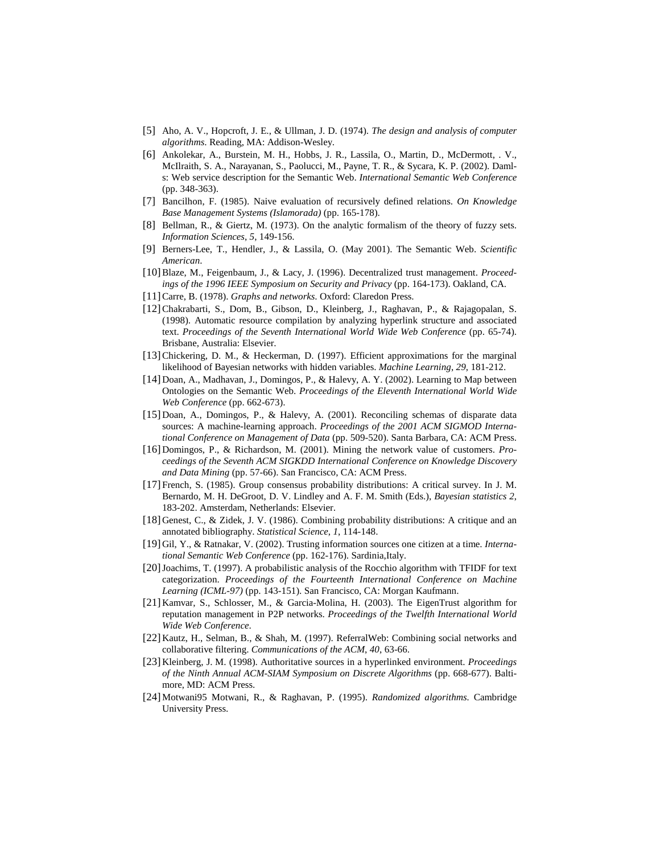- [5] Aho, A. V., Hopcroft, J. E., & Ullman, J. D. (1974). *The design and analysis of computer algorithms*. Reading, MA: Addison-Wesley.
- [6] Ankolekar, A., Burstein, M. H., Hobbs, J. R., Lassila, O., Martin, D., McDermott, . V., McIlraith, S. A., Narayanan, S., Paolucci, M., Payne, T. R., & Sycara, K. P. (2002). Damls: Web service description for the Semantic Web. *International Semantic Web Conference* (pp. 348-363).
- [7] Bancilhon, F. (1985). Naive evaluation of recursively defined relations. *On Knowledge Base Management Systems (Islamorada)* (pp. 165-178).
- [8] Bellman, R., & Giertz, M. (1973). On the analytic formalism of the theory of fuzzy sets. *Information Sciences*, *5*, 149-156.
- [9] Berners-Lee, T., Hendler, J., & Lassila, O. (May 2001). The Semantic Web. *Scientific American*.
- [10]Blaze, M., Feigenbaum, J., & Lacy, J. (1996). Decentralized trust management. *Proceedings of the 1996 IEEE Symposium on Security and Privacy* (pp. 164-173). Oakland, CA.
- [11]Carre, B. (1978). *Graphs and networks*. Oxford: Claredon Press.
- [12]Chakrabarti, S., Dom, B., Gibson, D., Kleinberg, J., Raghavan, P., & Rajagopalan, S. (1998). Automatic resource compilation by analyzing hyperlink structure and associated text. *Proceedings of the Seventh International World Wide Web Conference* (pp. 65-74). Brisbane, Australia: Elsevier.
- [13]Chickering, D. M., & Heckerman, D. (1997). Efficient approximations for the marginal likelihood of Bayesian networks with hidden variables. *Machine Learning*, *29*, 181-212.
- [14] Doan, A., Madhavan, J., Domingos, P., & Halevy, A. Y. (2002). Learning to Map between Ontologies on the Semantic Web. *Proceedings of the Eleventh International World Wide Web Conference* (pp. 662-673).
- [15]Doan, A., Domingos, P., & Halevy, A. (2001). Reconciling schemas of disparate data sources: A machine-learning approach. *Proceedings of the 2001 ACM SIGMOD International Conference on Management of Data* (pp. 509-520). Santa Barbara, CA: ACM Press.
- [16]Domingos, P., & Richardson, M. (2001). Mining the network value of customers. *Proceedings of the Seventh ACM SIGKDD International Conference on Knowledge Discovery and Data Mining* (pp. 57-66). San Francisco, CA: ACM Press.
- [17]French, S. (1985). Group consensus probability distributions: A critical survey. In J. M. Bernardo, M. H. DeGroot, D. V. Lindley and A. F. M. Smith (Eds.), *Bayesian statistics 2*, 183-202. Amsterdam, Netherlands: Elsevier.
- [18]Genest, C., & Zidek, J. V. (1986). Combining probability distributions: A critique and an annotated bibliography. *Statistical Science*, *1*, 114-148.
- [19]Gil, Y., & Ratnakar, V. (2002). Trusting information sources one citizen at a time. *International Semantic Web Conference* (pp. 162-176). Sardinia,Italy.
- [20]Joachims, T. (1997). A probabilistic analysis of the Rocchio algorithm with TFIDF for text categorization. *Proceedings of the Fourteenth International Conference on Machine Learning (ICML-97)* (pp. 143-151). San Francisco, CA: Morgan Kaufmann.
- [21]Kamvar, S., Schlosser, M., & Garcia-Molina, H. (2003). The EigenTrust algorithm for reputation management in P2P networks. *Proceedings of the Twelfth International World Wide Web Conference*.
- [22]Kautz, H., Selman, B., & Shah, M. (1997). ReferralWeb: Combining social networks and collaborative filtering. *Communications of the ACM*, *40*, 63-66.
- [23]Kleinberg, J. M. (1998). Authoritative sources in a hyperlinked environment. *Proceedings of the Ninth Annual ACM-SIAM Symposium on Discrete Algorithms* (pp. 668-677). Baltimore, MD: ACM Press.
- [24]Motwani95 Motwani, R., & Raghavan, P. (1995). *Randomized algorithms.* Cambridge University Press.